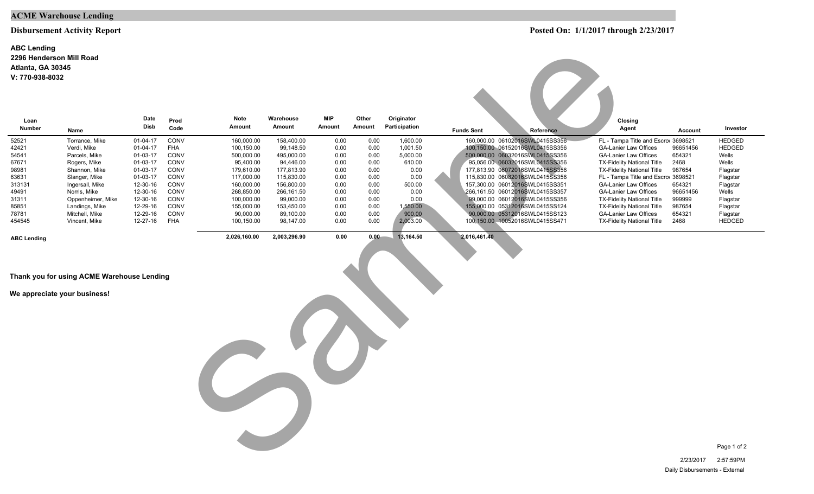### **ACME Warehouse Lending**

#### **Disbursement Activity Report**

#### **2296 Henderson Mill Road ABC Lending V: 770-938-8032 Atlanta, GA 30345**

| Atlanta, GA 30345<br>V: 770-938-8032 |                                            |                     |            |                |                     |                      |                 |                             |                                                                                              |
|--------------------------------------|--------------------------------------------|---------------------|------------|----------------|---------------------|----------------------|-----------------|-----------------------------|----------------------------------------------------------------------------------------------|
| Loan                                 |                                            | Date<br><b>Disb</b> | Prod       | Note<br>Amount | Warehouse<br>Amount | <b>MIP</b><br>Amount | Other<br>Amount | Originator<br>Participation | Closing                                                                                      |
| <b>Number</b>                        | Name                                       |                     | Code       |                |                     |                      |                 |                             | Agent<br>Investor<br><b>Funds Sent</b><br>Reference<br><b>Account</b>                        |
| 52521                                | Torrance, Mike                             | 01-04-17            | CONV       | 160,000.00     | 158,400.00          | 0.00                 | 0.00            | 1,600.00                    | 160,000.00 06102016SWL0415SS356<br>FL - Tampa Title and Escro\ 3698521<br><b>HEDGED</b>      |
| 42421                                | Verdi, Mike                                | 01-04-17            | <b>FHA</b> | 100,150.00     | 99,148.50           | 0.00                 | 0.00            | 1,001.50                    | 100,150.00 06152016SWL0415SS356<br><b>HEDGED</b><br><b>GA-Lanier Law Offices</b><br>96651456 |
| 54541                                | Parcels, Mike                              | 01-03-17            | CONV       | 500,000.00     | 495,000.00          | 0.00                 | 0.00            | 5,000.00                    | 500,000.00 06032016SWL0415SS356<br><b>GA-Lanier Law Offices</b><br>654321<br>Wells           |
| 67671                                | Rogers, Mike                               | 01-03-17            | CONV       | 95,400.00      | 94,446.00           | 0.00                 | 0.00            | 610.00                      | 95,056.00 06032016SWL0415SS356<br>2468<br>Wells<br><b>TX-Fidelity National Title</b>         |
| 98981                                | Shannon, Mike                              | 01-03-17            | CONV       | 179,610.00     | 177,813.90          | 0.00                 | 0.00            | 0.00                        | 177,813.90 06072016SWL0415SS356<br><b>TX-Fidelity National Title</b><br>987654<br>Flagstar   |
| 63631                                | Slanger, Mike                              | 01-03-17            | CONV       | 117,000.00     | 115,830.00          | 0.00                 | 0.00            | 0.00                        | 115,830.00 06082016SWL0415SS356<br>FL - Tampa Title and Escro\ 3698521<br>Flagstar           |
| 313131                               | Ingersall, Mike                            | 12-30-16            | CONV       | 160,000.00     | 156,800.00          | 0.00                 | 0.00            | 500.00                      | 157,300.00 06012016SWL0415SS351<br><b>GA-Lanier Law Offices</b><br>654321<br>Flagstar        |
| 49491                                | Norris, Mike                               | 12-30-16            | CONV       | 268,850.00     | 266,161.50          | 0.00                 | 0.00            | 0.00                        | 266,161.50 06012016SWL0415SS357<br><b>GA-Lanier Law Offices</b><br>96651456<br>Wells         |
| 31311                                | Oppenheimer, Mike                          | 12-30-16            | CONV       | 100,000.00     | 99,000.00           | 0.00                 | 0.00            | 0.00                        | 99,000.00 06012016SWL0415SS356<br><b>TX-Fidelity National Title</b><br>999999<br>Flagstar    |
| 85851                                | Landings, Mike                             | 12-29-16            | CONV       | 155,000.00     | 153,450.00          | 0.00                 | 0.00            | 1,550.00                    | 155,000.00 05312016SWL0415SS124<br><b>TX-Fidelity National Title</b><br>987654<br>Flagstar   |
| 78781                                | Mitchell, Mike                             | 12-29-16            | CONV       | 90,000.00      | 89,100.00           | 0.00                 | 0.00            | 900.00                      | 90,000.00 05312016SWL0415SS123<br><b>GA-Lanier Law Offices</b><br>654321<br>Flagstar         |
| 454545                               | Vincent, Mike                              | 12-27-16            | <b>FHA</b> | 100,150.00     | 98,147.00           | 0.00                 | 0.00            | 2,003.00                    | 100,150.00  10052016SWL0415SS471<br>HEDGED<br><b>TX-Fidelity National Title</b><br>2468      |
| <b>ABC Lending</b>                   |                                            |                     |            | 2,026,160.00   | 2,003,296.90        | 0.00                 | $0.00 -$        | 13,164.50                   | 2,016,461.40                                                                                 |
|                                      |                                            |                     |            |                |                     |                      |                 |                             |                                                                                              |
|                                      |                                            |                     |            |                |                     |                      |                 |                             |                                                                                              |
|                                      |                                            |                     |            |                |                     |                      |                 |                             |                                                                                              |
|                                      |                                            |                     |            |                |                     |                      |                 |                             |                                                                                              |
|                                      | Thank you for using ACME Warehouse Lending |                     |            |                |                     |                      |                 |                             |                                                                                              |
|                                      |                                            |                     |            |                |                     |                      |                 |                             |                                                                                              |
|                                      | We appreciate your business!               |                     |            |                |                     |                      |                 |                             |                                                                                              |
|                                      |                                            |                     |            |                |                     |                      |                 |                             |                                                                                              |
|                                      |                                            |                     |            |                |                     |                      |                 |                             |                                                                                              |
|                                      |                                            |                     |            |                |                     |                      |                 |                             |                                                                                              |
|                                      |                                            |                     |            |                |                     |                      |                 |                             |                                                                                              |
|                                      |                                            |                     |            |                |                     |                      |                 |                             |                                                                                              |
|                                      |                                            |                     |            |                |                     |                      |                 |                             |                                                                                              |
|                                      |                                            |                     |            |                |                     |                      |                 |                             |                                                                                              |
|                                      |                                            |                     |            |                |                     |                      |                 |                             |                                                                                              |
|                                      |                                            |                     |            |                |                     |                      |                 |                             |                                                                                              |
|                                      |                                            |                     |            |                |                     |                      |                 |                             |                                                                                              |
|                                      |                                            |                     |            |                |                     |                      |                 |                             |                                                                                              |
|                                      |                                            |                     |            |                |                     |                      |                 |                             |                                                                                              |
|                                      |                                            |                     |            |                |                     |                      |                 |                             |                                                                                              |
|                                      |                                            |                     |            |                |                     |                      |                 |                             |                                                                                              |
|                                      |                                            |                     |            |                |                     |                      |                 |                             |                                                                                              |
|                                      |                                            |                     |            |                |                     |                      |                 |                             |                                                                                              |
|                                      |                                            |                     |            |                |                     |                      |                 |                             |                                                                                              |
|                                      |                                            |                     |            |                |                     |                      |                 |                             |                                                                                              |
|                                      |                                            |                     |            |                |                     |                      |                 |                             |                                                                                              |

Page 1 of 2